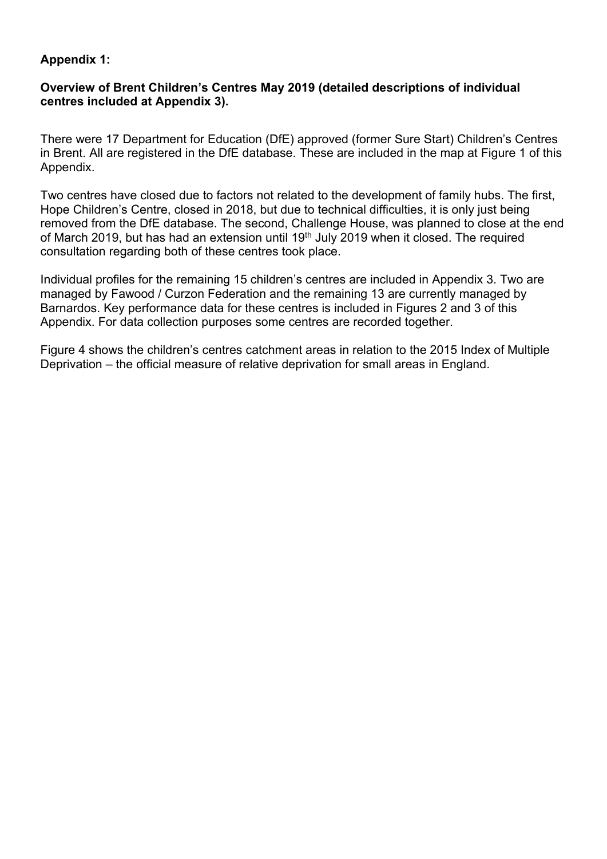### **Appendix 1:**

### **Overview of Brent Children's Centres May 2019 (detailed descriptions of individual centres included at Appendix 3).**

There were 17 Department for Education (DfE) approved (former Sure Start) Children's Centres in Brent. All are registered in the DfE database. These are included in the map at Figure 1 of this Appendix.

Two centres have closed due to factors not related to the development of family hubs. The first, Hope Children's Centre, closed in 2018, but due to technical difficulties, it is only just being removed from the DfE database. The second, Challenge House, was planned to close at the end of March 2019, but has had an extension until 19<sup>th</sup> July 2019 when it closed. The required consultation regarding both of these centres took place.

Individual profiles for the remaining 15 children's centres are included in Appendix 3. Two are managed by Fawood / Curzon Federation and the remaining 13 are currently managed by Barnardos. Key performance data for these centres is included in Figures 2 and 3 of this Appendix. For data collection purposes some centres are recorded together.

Figure 4 shows the children's centres catchment areas in relation to the 2015 Index of Multiple Deprivation – the official measure of relative deprivation for small areas in England.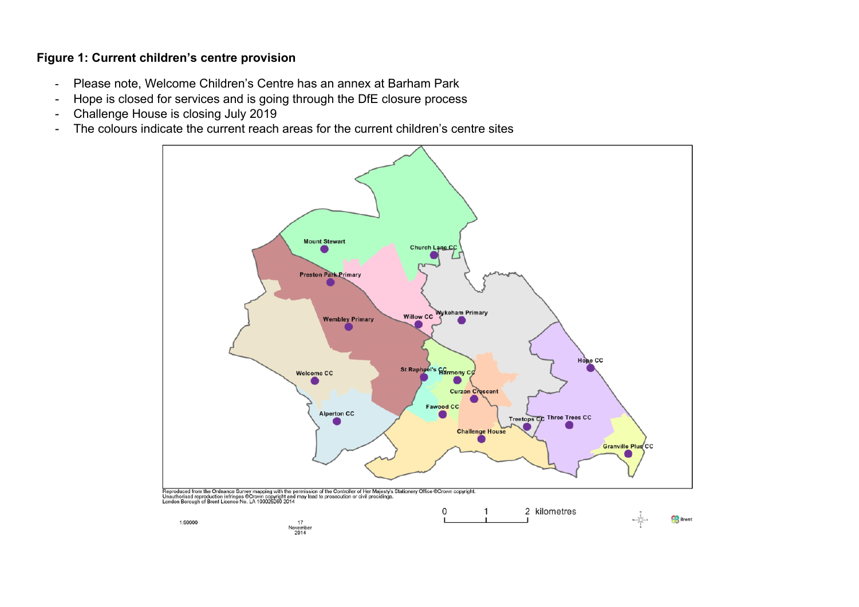### **Figure 1: Current children's centre provision**

- Please note, Welcome Children's Centre has an annex at Barham Park
- Hope is closed for services and is going through the DfE closure process
- Challenge House is closing July 2019
- The colours indicate the current reach areas for the current children's centre sites

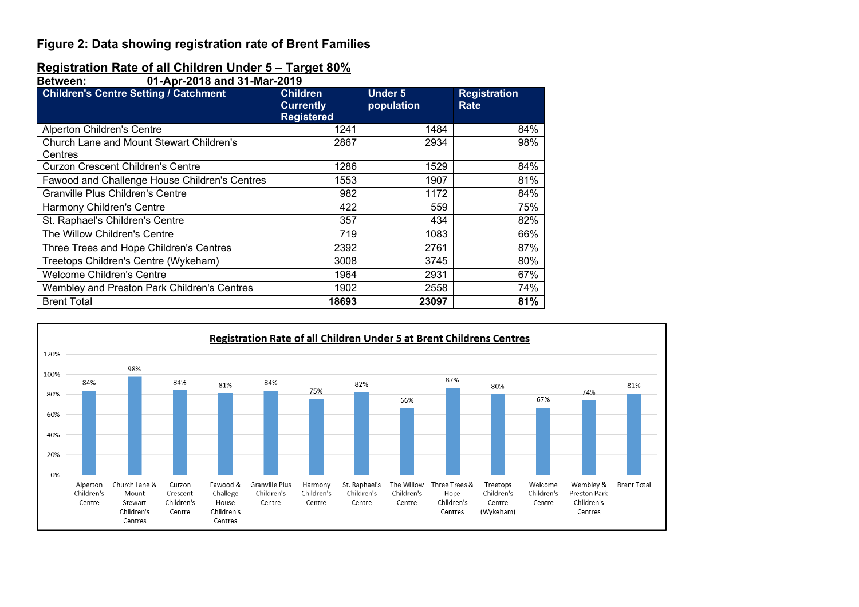### **Figure 2: Data showing registration rate of Brent Families**

## **Registration Rate of all Children Under 5 – Target 80%**

| 01-Apr-2018 and 31-Mar-2019<br><b>Between:</b>      |                                                          |                              |                             |  |  |  |  |
|-----------------------------------------------------|----------------------------------------------------------|------------------------------|-----------------------------|--|--|--|--|
| <b>Children's Centre Setting / Catchment</b>        | <b>Children</b><br><b>Currently</b><br><b>Registered</b> | <b>Under 5</b><br>population | <b>Registration</b><br>Rate |  |  |  |  |
| <b>Alperton Children's Centre</b>                   | 1241                                                     | 1484                         | 84%                         |  |  |  |  |
| Church Lane and Mount Stewart Children's<br>Centres | 2867                                                     | 2934                         | 98%                         |  |  |  |  |
| <b>Curzon Crescent Children's Centre</b>            | 1286                                                     | 1529                         | 84%                         |  |  |  |  |
| Fawood and Challenge House Children's Centres       | 1553                                                     | 1907                         | 81%                         |  |  |  |  |
| Granville Plus Children's Centre                    | 982                                                      | 1172                         | 84%                         |  |  |  |  |
| Harmony Children's Centre                           | 422                                                      | 559                          | 75%                         |  |  |  |  |
| St. Raphael's Children's Centre                     | 357                                                      | 434                          | 82%                         |  |  |  |  |
| The Willow Children's Centre                        | 719                                                      | 1083                         | 66%                         |  |  |  |  |
| Three Trees and Hope Children's Centres             | 2392                                                     | 2761                         | 87%                         |  |  |  |  |
| Treetops Children's Centre (Wykeham)                | 3008                                                     | 3745                         | 80%                         |  |  |  |  |
| <b>Welcome Children's Centre</b>                    | 1964                                                     | 2931                         | 67%                         |  |  |  |  |
| Wembley and Preston Park Children's Centres         | 1902                                                     | 2558                         | 74%                         |  |  |  |  |
| <b>Brent Total</b>                                  | 18693                                                    | 23097                        | 81%                         |  |  |  |  |

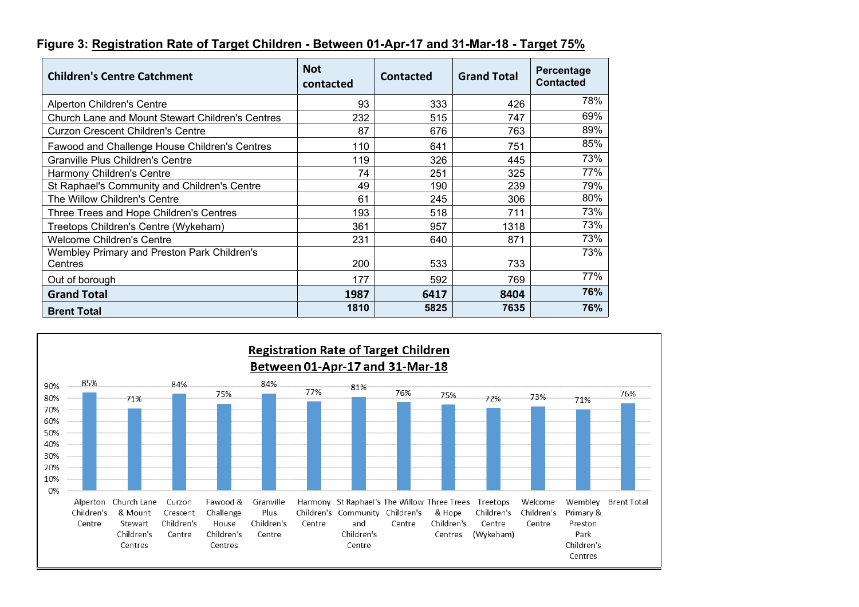### **Figure 3: Registration Rate of Target Children - Between 01-Apr-17 and 31-Mar-18 - Target 75%**

| <b>Children's Centre Catchment</b>                      | <b>Not</b><br>contacted | Contacted | <b>Grand Total</b> | Percentage<br><b>Contacted</b> |
|---------------------------------------------------------|-------------------------|-----------|--------------------|--------------------------------|
| <b>Alperton Children's Centre</b>                       | 93                      | 333       | 426                | 78%                            |
| <b>Church Lane and Mount Stewart Children's Centres</b> | 232                     | 515       | 747                | 69%                            |
| Curzon Crescent Children's Centre                       | 87                      | 676       | 763                | 89%                            |
| Fawood and Challenge House Children's Centres           | 110                     | 641       | 751                | 85%                            |
| <b>Granville Plus Children's Centre</b>                 | 119                     | 326       | 445                | 73%                            |
| Harmony Children's Centre                               | 74                      | 251       | 325                | 77%                            |
| St Raphael's Community and Children's Centre            | 49                      | 190       | 239                | 79%                            |
| The Willow Children's Centre                            | 61                      | 245       | 306                | 80%                            |
| Three Trees and Hope Children's Centres                 | 193                     | 518       | 711                | 73%                            |
| Treetops Children's Centre (Wykeham)                    | 361                     | 957       | 1318               | 73%                            |
| <b>Welcome Children's Centre</b>                        | 231                     | 640       | 871                | 73%                            |
| Wembley Primary and Preston Park Children's<br>Centres  | 200                     | 533       | 733                | 73%                            |
|                                                         |                         |           |                    | 77%                            |
| Out of borough                                          | 177                     | 592       | 769                |                                |
| <b>Grand Total</b>                                      | 1987                    | 6417      | 8404               | 76%                            |
| <b>Brent Total</b>                                      | 1810                    | 5825      | 7635               | 76%                            |

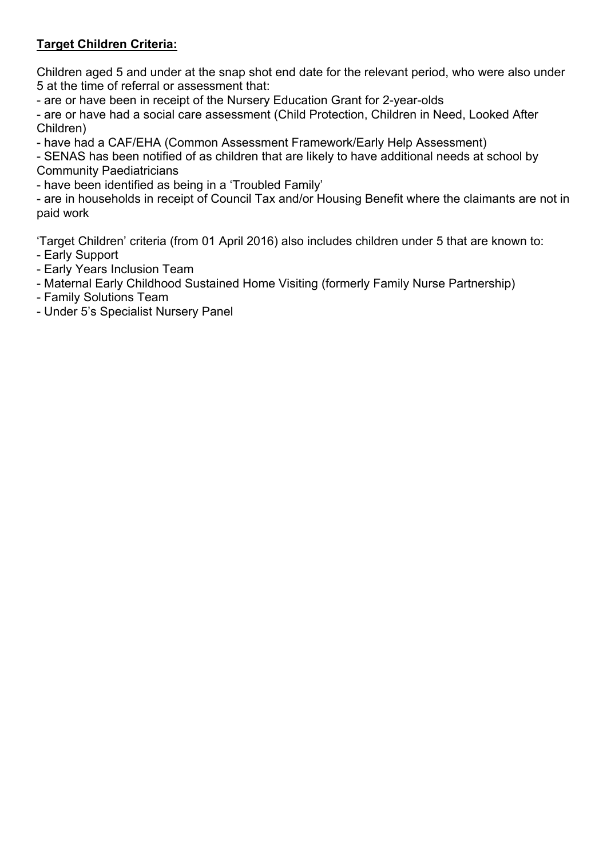# **Target Children Criteria:**

Children aged 5 and under at the snap shot end date for the relevant period, who were also under 5 at the time of referral or assessment that:

- are or have been in receipt of the Nursery Education Grant for 2-year-olds

- are or have had a social care assessment (Child Protection, Children in Need, Looked After Children)

- have had a CAF/EHA (Common Assessment Framework/Early Help Assessment)

- SENAS has been notified of as children that are likely to have additional needs at school by Community Paediatricians

- have been identified as being in a 'Troubled Family'

- are in households in receipt of Council Tax and/or Housing Benefit where the claimants are not in paid work

'Target Children' criteria (from 01 April 2016) also includes children under 5 that are known to:

- Early Support
- Early Years Inclusion Team
- Maternal Early Childhood Sustained Home Visiting (formerly Family Nurse Partnership)
- Family Solutions Team
- Under 5's Specialist Nursery Panel